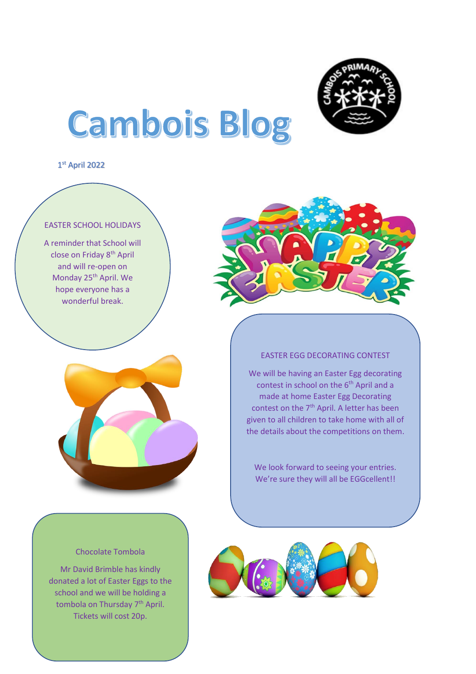

# Cambois Blog

1 st April 2022

## EASTER SCHOOL HOLIDAYS

A reminder that School will close on Friday 8<sup>th</sup> April and will re-open on Monday 25<sup>th</sup> April. We hope everyone has a wonderful break.





We will be having an Easter Egg decorating contest in school on the 6<sup>th</sup> April and a made at home Easter Egg Decorating contest on the 7<sup>th</sup> April. A letter has been given to all children to take home with all of the details about the competitions on them.

We look forward to seeing your entries. We're sure they will all be EGGcellent!!



#### Chocolate Tombola

Mr David Brimble has kindly donated a lot of Easter Eggs to the school and we will be holding a tombola on Thursday 7<sup>th</sup> April. Tickets will cost 20p.

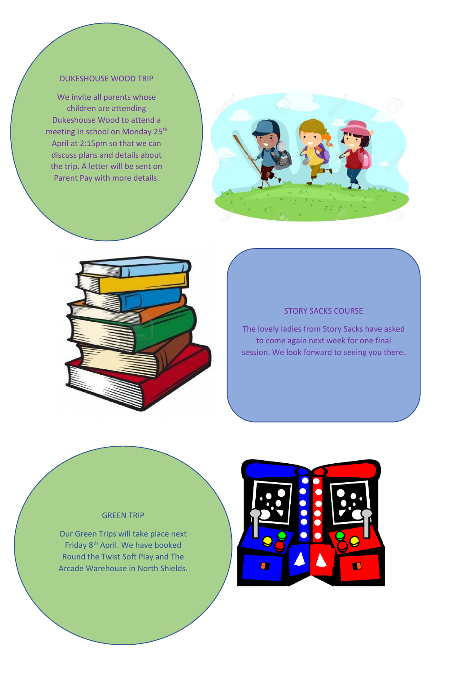#### DUKESHOUSE WOOD TRIP

We invite all parents whose children are attending Dukeshouse Wood to attend a meeting in school on Monday 25<sup>th</sup> April at 2:15pm so that we can discuss plans and details about the trip. A letter will be sent on Parent Pay with more details.





### STORY SACKS COURSE

The lovely ladies from Story Sacks have asked to come again next week for one final session. We look forward to seeing you there.

## GREEN TRIP

Our Green Trips will take place next Friday 8<sup>th</sup> April. We have booked Round the Twist Soft Play and The Arcade Warehouse in North Shields.